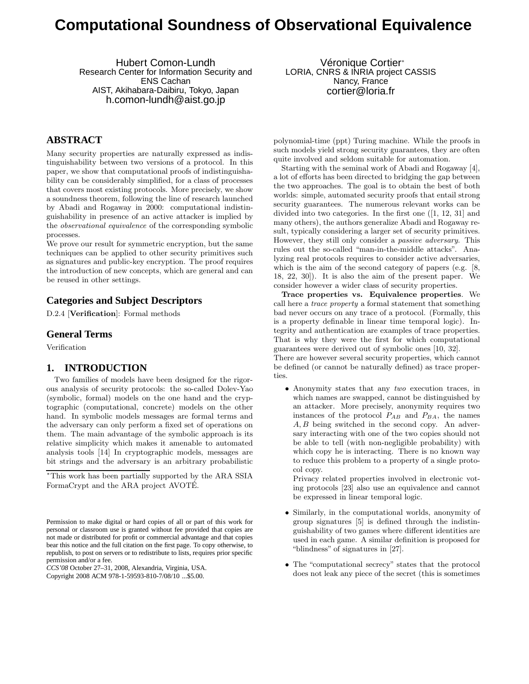# **Computational Soundness of Observational Equivalence**

Hubert Comon-Lundh Research Center for Information Security and ENS Cachan AIST, Akihabara-Daibiru, Tokyo, Japan h.comon-lundh@aist.go.jp

# **ABSTRACT**

Many security properties are naturally expressed as indistinguishability between two versions of a protocol. In this paper, we show that computational proofs of indistinguishability can be considerably simplified, for a class of processes that covers most existing protocols. More precisely, we show a soundness theorem, following the line of research launched by Abadi and Rogaway in 2000: computational indistinguishability in presence of an active attacker is implied by the observational equivalence of the corresponding symbolic processes.

We prove our result for symmetric encryption, but the same techniques can be applied to other security primitives such as signatures and public-key encryption. The proof requires the introduction of new concepts, which are general and can be reused in other settings.

# **Categories and Subject Descriptors**

D.2.4 [Verification]: Formal methods

# **General Terms**

Verification

# **1. INTRODUCTION**

Two families of models have been designed for the rigorous analysis of security protocols: the so-called Dolev-Yao (symbolic, formal) models on the one hand and the cryptographic (computational, concrete) models on the other hand. In symbolic models messages are formal terms and the adversary can only perform a fixed set of operations on them. The main advantage of the symbolic approach is its relative simplicity which makes it amenable to automated analysis tools [14] In cryptographic models, messages are bit strings and the adversary is an arbitrary probabilistic

Véronique Cortier<sup>∗</sup> LORIA, CNRS & INRIA project CASSIS Nancy, France cortier@loria.fr

polynomial-time (ppt) Turing machine. While the proofs in such models yield strong security guarantees, they are often quite involved and seldom suitable for automation.

Starting with the seminal work of Abadi and Rogaway [4], a lot of efforts has been directed to bridging the gap between the two approaches. The goal is to obtain the best of both worlds: simple, automated security proofs that entail strong security guarantees. The numerous relevant works can be divided into two categories. In the first one ([1, 12, 31] and many others), the authors generalize Abadi and Rogaway result, typically considering a larger set of security primitives. However, they still only consider a passive adversary. This rules out the so-called "man-in-the-middle attacks". Analyzing real protocols requires to consider active adversaries, which is the aim of the second category of papers (e.g. [8, 18, 22, 30]). It is also the aim of the present paper. We consider however a wider class of security properties.

Trace properties vs. Equivalence properties. We call here a trace property a formal statement that something bad never occurs on any trace of a protocol. (Formally, this is a property definable in linear time temporal logic). Integrity and authentication are examples of trace properties. That is why they were the first for which computational guarantees were derived out of symbolic ones [10, 32].

There are however several security properties, which cannot be defined (or cannot be naturally defined) as trace properties.

• Anonymity states that any two execution traces, in which names are swapped, cannot be distinguished by an attacker. More precisely, anonymity requires two instances of the protocol  $P_{AB}$  and  $P_{BA}$ , the names A, B being switched in the second copy. An adversary interacting with one of the two copies should not be able to tell (with non-negligible probability) with which copy he is interacting. There is no known way to reduce this problem to a property of a single protocol copy.

Privacy related properties involved in electronic voting protocols [23] also use an equivalence and cannot be expressed in linear temporal logic.

- Similarly, in the computational worlds, anonymity of group signatures [5] is defined through the indistinguishability of two games where different identities are used in each game. A similar definition is proposed for "blindness" of signatures in [27].
- The "computational secrecy" states that the protocol does not leak any piece of the secret (this is sometimes

<sup>∗</sup>This work has been partially supported by the ARA SSIA FormaCrypt and the ARA project AVOTÉ.

Permission to make digital or hard copies of all or part of this work for personal or classroom use is granted without fee provided that copies are not made or distributed for profit or commercial advantage and that copies bear this notice and the full citation on the first page. To copy otherwise, to republish, to post on servers or to redistribute to lists, requires prior specific permission and/or a fee.

*CCS'08* October 27–31, 2008, Alexandria, Virginia, USA.

Copyright 2008 ACM 978-1-59593-810-7/08/10 ...\$5.00.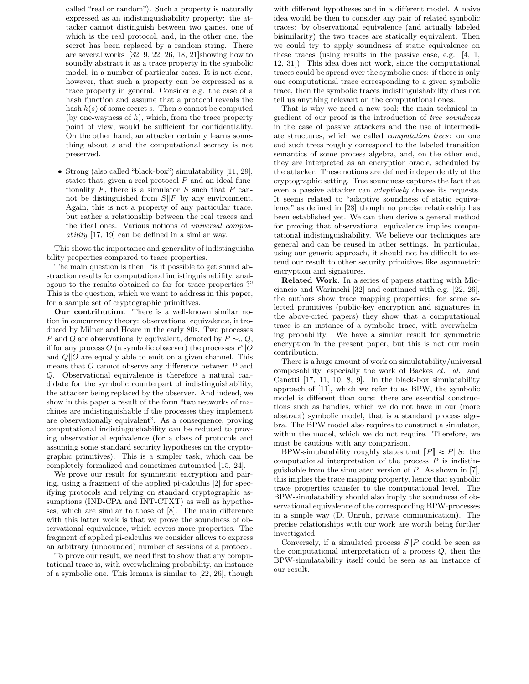called "real or random"). Such a property is naturally expressed as an indistinguishability property: the attacker cannot distinguish between two games, one of which is the real protocol, and, in the other one, the secret has been replaced by a random string. There are several works [32, 9, 22, 26, 18, 21]showing how to soundly abstract it as a trace property in the symbolic model, in a number of particular cases. It is not clear, however, that such a property can be expressed as a trace property in general. Consider e.g. the case of a hash function and assume that a protocol reveals the hash  $h(s)$  of some secret s. Then s cannot be computed (by one-wayness of  $h$ ), which, from the trace property point of view, would be sufficient for confidentiality. On the other hand, an attacker certainly learns something about s and the computational secrecy is not preserved.

• Strong (also called "black-box") simulatability [11, 29], states that, given a real protocol  $P$  and an ideal functionality  $F$ , there is a simulator  $S$  such that  $P$  cannot be distinguished from  $S||F$  by any environment. Again, this is not a property of any particular trace, but rather a relationship between the real traces and the ideal ones. Various notions of universal composability [17, 19] can be defined in a similar way.

This shows the importance and generality of indistinguishability properties compared to trace properties.

The main question is then: "is it possible to get sound abstraction results for computational indistinguishability, analogous to the results obtained so far for trace properties ?" This is the question, which we want to address in this paper, for a sample set of cryptographic primitives.

Our contribution. There is a well-known similar notion in concurrency theory: observational equivalence, introduced by Milner and Hoare in the early 80s. Two processes P and Q are observationally equivalent, denoted by  $P \sim_o Q$ , if for any process O (a symbolic observer) the processes  $P||O$ and  $Q||O$  are equally able to emit on a given channel. This means that O cannot observe any difference between P and Q. Observational equivalence is therefore a natural candidate for the symbolic counterpart of indistinguishability, the attacker being replaced by the observer. And indeed, we show in this paper a result of the form "two networks of machines are indistinguishable if the processes they implement are observationally equivalent". As a consequence, proving computational indistinguishability can be reduced to proving observational equivalence (for a class of protocols and assuming some standard security hypotheses on the cryptographic primitives). This is a simpler task, which can be completely formalized and sometimes automated [15, 24].

We prove our result for symmetric encryption and pairing, using a fragment of the applied pi-calculus [2] for specifying protocols and relying on standard cryptographic assumptions (IND-CPA and INT-CTXT) as well as hypotheses, which are similar to those of [8]. The main difference with this latter work is that we prove the soundness of observational equivalence, which covers more properties. The fragment of applied pi-calculus we consider allows to express an arbitrary (unbounded) number of sessions of a protocol.

To prove our result, we need first to show that any computational trace is, with overwhelming probability, an instance of a symbolic one. This lemma is similar to [22, 26], though

with different hypotheses and in a different model. A naive idea would be then to consider any pair of related symbolic traces: by observational equivalence (and actually labeled bisimilarity) the two traces are statically equivalent. Then we could try to apply soundness of static equivalence on these traces (using results in the passive case, e.g. [4, 1, 12, 31]). This idea does not work, since the computational traces could be spread over the symbolic ones: if there is only one computational trace corresponding to a given symbolic trace, then the symbolic traces indistinguishability does not tell us anything relevant on the computational ones.

That is why we need a new tool; the main technical ingredient of our proof is the introduction of tree soundness in the case of passive attackers and the use of intermediate structures, which we called computation trees: on one end such trees roughly correspond to the labeled transition semantics of some process algebra, and, on the other end, they are interpreted as an encryption oracle, scheduled by the attacker. These notions are defined independently of the cryptographic setting. Tree soundness captures the fact that even a passive attacker can adaptively choose its requests. It seems related to "adaptive soundness of static equivalence" as defined in [28] though no precise relationship has been established yet. We can then derive a general method for proving that observational equivalence implies computational indistinguishability. We believe our techniques are general and can be reused in other settings. In particular, using our generic approach, it should not be difficult to extend our result to other security primitives like asymmetric encryption and signatures.

Related Work. In a series of papers starting with Micciancio and Warinschi [32] and continued with e.g. [22, 26], the authors show trace mapping properties: for some selected primitives (public-key encryption and signatures in the above-cited papers) they show that a computational trace is an instance of a symbolic trace, with overwhelming probability. We have a similar result for symmetric encryption in the present paper, but this is not our main contribution.

There is a huge amount of work on simulatability/universal composability, especially the work of Backes et. al. and Canetti [17, 11, 10, 8, 9]. In the black-box simulatability approach of [11], which we refer to as BPW, the symbolic model is different than ours: there are essential constructions such as handles, which we do not have in our (more abstract) symbolic model, that is a standard process algebra. The BPW model also requires to construct a simulator, within the model, which we do not require. Therefore, we must be cautious with any comparison.

BPW-simulatability roughly states that  $||P|| \approx P||S$ : the computational interpretation of the process  $P$  is indistinguishable from the simulated version of  $P$ . As shown in [7], this implies the trace mapping property, hence that symbolic trace properties transfer to the computational level. The BPW-simulatability should also imply the soundness of observational equivalence of the corresponding BPW-processes in a simple way (D. Unruh, private communication). The precise relationships with our work are worth being further investigated.

Conversely, if a simulated process  $S||P$  could be seen as the computational interpretation of a process  $Q$ , then the BPW-simulatability itself could be seen as an instance of our result.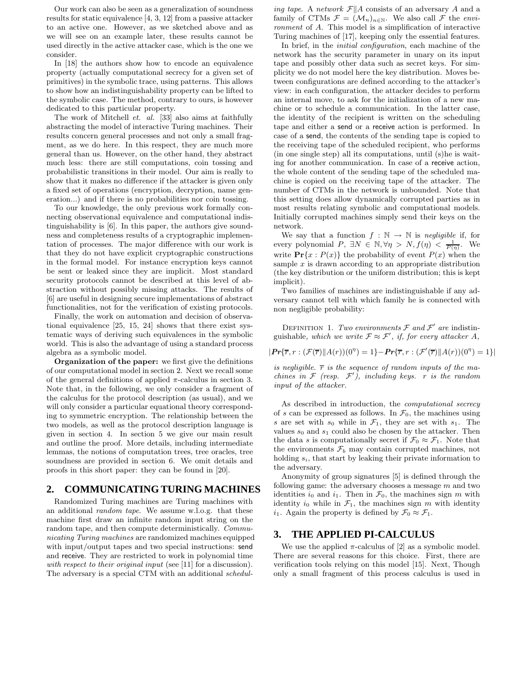Our work can also be seen as a generalization of soundness results for static equivalence [4, 3, 12] from a passive attacker to an active one. However, as we sketched above and as we will see on an example later, these results cannot be used directly in the active attacker case, which is the one we consider.

In [18] the authors show how to encode an equivalence property (actually computational secrecy for a given set of primitives) in the symbolic trace, using patterns. This allows to show how an indistinguishability property can be lifted to the symbolic case. The method, contrary to ours, is however dedicated to this particular property.

The work of Mitchell et. al. [33] also aims at faithfully abstracting the model of interactive Turing machines. Their results concern general processes and not only a small fragment, as we do here. In this respect, they are much more general than us. However, on the other hand, they abstract much less: there are still computations, coin tossing and probabilistic transitions in their model. Our aim is really to show that it makes no difference if the attacker is given only a fixed set of operations (encryption, decryption, name generation...) and if there is no probabilities nor coin tossing.

To our knowledge, the only previous work formally connecting observational equivalence and computational indistinguishability is [6]. In this paper, the authors give soundness and completeness results of a cryptographic implementation of processes. The major difference with our work is that they do not have explicit cryptographic constructions in the formal model. For instance encryption keys cannot be sent or leaked since they are implicit. Most standard security protocols cannot be described at this level of abstraction without possibly missing attacks. The results of [6] are useful in designing secure implementations of abstract functionalities, not for the verification of existing protocols.

Finally, the work on automation and decision of observational equivalence [25, 15, 24] shows that there exist systematic ways of deriving such equivalences in the symbolic world. This is also the advantage of using a standard process algebra as a symbolic model.

Organization of the paper: we first give the definitions of our computational model in section 2. Next we recall some of the general definitions of applied  $\pi$ -calculus in section 3. Note that, in the following, we only consider a fragment of the calculus for the protocol description (as usual), and we will only consider a particular equational theory corresponding to symmetric encryption. The relationship between the two models, as well as the protocol description language is given in section 4. In section 5 we give our main result and outline the proof. More details, including intermediate lemmas, the notions of computation trees, tree oracles, tree soundness are provided in section 6. We omit details and proofs in this short paper: they can be found in [20].

# **2. COMMUNICATING TURING MACHINES**

Randomized Turing machines are Turing machines with an additional random tape. We assume w.l.o.g. that these machine first draw an infinite random input string on the random tape, and then compute deterministically. Communicating Turing machines are randomized machines equipped with input/output tapes and two special instructions: send and receive. They are restricted to work in polynomial time with respect to their original input (see [11] for a discussion). The adversary is a special CTM with an additional schedul-

ing tape. A network  $\mathcal{F}||A$  consists of an adversary A and a family of CTMs  $\mathcal{F} = (\mathcal{M}_n)_{n \in \mathbb{N}}$ . We also call  $\mathcal F$  the *envi*ronment of A. This model is a simplification of interactive Turing machines of [17], keeping only the essential features.

In brief, in the *initial configuration*, each machine of the network has the security parameter in unary on its input tape and possibly other data such as secret keys. For simplicity we do not model here the key distribution. Moves between configurations are defined according to the attacker's view: in each configuration, the attacker decides to perform an internal move, to ask for the initialization of a new machine or to schedule a communication. In the latter case, the identity of the recipient is written on the scheduling tape and either a send or a receive action is performed. In case of a send, the contents of the sending tape is copied to the receiving tape of the scheduled recipient, who performs (in one single step) all its computations, until (s)he is waiting for another communication. In case of a receive action, the whole content of the sending tape of the scheduled machine is copied on the receiving tape of the attacker. The number of CTMs in the network is unbounded. Note that this setting does allow dynamically corrupted parties as in most results relating symbolic and computational models. Initially corrupted machines simply send their keys on the network.

We say that a function  $f : \mathbb{N} \to \mathbb{N}$  is negligible if, for every polynomial  $P$ ,  $\exists N \in \mathbb{N}, \forall \eta > N, f(\eta) < \frac{1}{P(\eta)}$ . We write  $\Pr\{x : P(x)\}\$ the probability of event  $P(x)$  when the sample  $x$  is drawn according to an appropriate distribution (the key distribution or the uniform distribution; this is kept implicit).

Two families of machines are indistinguishable if any adversary cannot tell with which family he is connected with non negligible probability:

DEFINITION 1. Two environments  $\mathcal F$  and  $\mathcal F'$  are indistinguishable, which we write  $\mathcal{F} \approx \mathcal{F}'$ , if, for every attacker A,

 $|\Pr{\overline{r}, r : (\mathcal{F}(\overline{r}) || A(r))(0^{n}) = 1} - \Pr{\overline{r}, r : (\mathcal{F}'(\overline{r}) || A(r))(0^{n}) = 1}|$ 

is negligible.  $\overline{r}$  is the sequence of random inputs of the machines in  $\mathcal F$  (resp.  $\mathcal F'$ ), including keys. r is the random input of the attacker.

As described in introduction, the computational secrecy of s can be expressed as follows. In  $\mathcal{F}_0$ , the machines using s are set with  $s_0$  while in  $\mathcal{F}_1$ , they are set with  $s_1$ . The values  $s_0$  and  $s_1$  could also be chosen by the attacker. Then the data s is computationally secret if  $\mathcal{F}_0 \approx \mathcal{F}_1$ . Note that the environments  $\mathcal{F}_b$  may contain corrupted machines, not holding  $s_i$ , that start by leaking their private information to the adversary.

Anonymity of group signatures [5] is defined through the following game: the adversary chooses a message  $m$  and two identities  $i_0$  and  $i_1$ . Then in  $\mathcal{F}_0$ , the machines sign m with identity i<sub>0</sub> while in  $\mathcal{F}_1$ , the machines sign m with identity *i*<sub>1</sub>. Again the property is defined by  $\mathcal{F}_0 \approx \mathcal{F}_1$ .

### **3. THE APPLIED PI-CALCULUS**

We use the applied  $\pi$ -calculus of [2] as a symbolic model. There are several reasons for this choice. First, there are verification tools relying on this model [15]. Next, Though only a small fragment of this process calculus is used in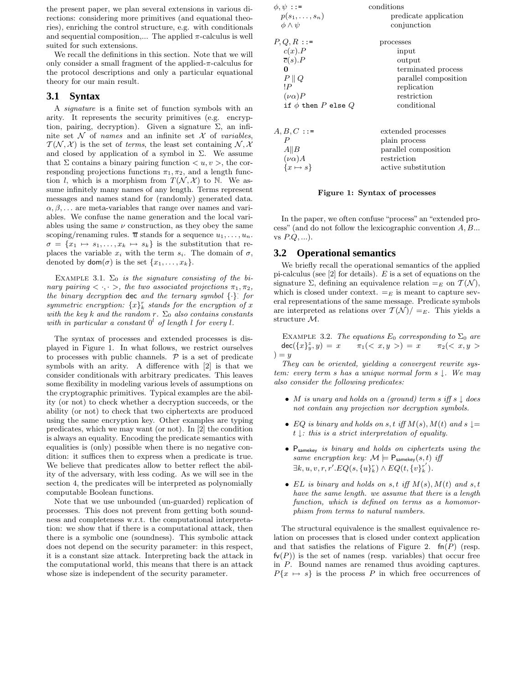the present paper, we plan several extensions in various directions: considering more primitives (and equational theories), enriching the control structure, e.g. with conditionals and sequential composition,... The applied  $\pi$ -calculus is well suited for such extensions.

We recall the definitions in this section. Note that we will only consider a small fragment of the applied- $\pi$ -calculus for the protocol descriptions and only a particular equational theory for our main result.

### **3.1 Syntax**

A signature is a finite set of function symbols with an arity. It represents the security primitives (e.g. encryption, pairing, decryption). Given a signature  $\Sigma$ , an infinite set  $N$  of names and an infinite set  $\mathcal X$  of variables,  $\mathcal{T}(\mathcal{N}, \mathcal{X})$  is the set of terms, the least set containing  $\mathcal{N}, \mathcal{X}$ and closed by application of a symbol in  $\Sigma$ . We assume that  $\Sigma$  contains a binary pairing function  $\langle u, v \rangle$ , the corresponding projections functions  $\pi_1, \pi_2$ , and a length function *l*, which is a morphism from  $T(\mathcal{N}, \mathcal{X})$  to N. We assume infinitely many names of any length. Terms represent messages and names stand for (randomly) generated data.  $\alpha, \beta, \ldots$  are meta-variables that range over names and variables. We confuse the name generation and the local variables using the same  $\nu$  construction, as they obey the same scoping/renaming rules.  $\overline{u}$  stands for a sequence  $u_1, \ldots, u_n$ .  $\sigma = \{x_1 \mapsto s_1, \ldots, x_k \mapsto s_k\}$  is the substitution that replaces the variable  $x_i$  with the term  $s_i$ . The domain of  $\sigma$ , denoted by  $\mathsf{dom}(\sigma)$  is the set  $\{x_1, \ldots, x_k\}.$ 

EXAMPLE 3.1.  $\Sigma_0$  is the signature consisting of the binary pairing  $\langle \cdot, \cdot \rangle$ , the two associated projections  $\pi_1, \pi_2$ , the binary decryption dec and the ternary symbol  $\{\cdot\}$  for symmetric encryption:  ${x}_{k}^{r}$  stands for the encryption of x with the key k and the random r.  $\Sigma_0$  also contains constants with in particular a constant  $0<sup>l</sup>$  of length l for every l.

The syntax of processes and extended processes is displayed in Figure 1. In what follows, we restrict ourselves to processes with public channels.  $P$  is a set of predicate symbols with an arity. A difference with [2] is that we consider conditionals with arbitrary predicates. This leaves some flexibility in modeling various levels of assumptions on the cryptographic primitives. Typical examples are the ability (or not) to check whether a decryption succeeds, or the ability (or not) to check that two ciphertexts are produced using the same encryption key. Other examples are typing predicates, which we may want (or not). In [2] the condition is always an equality. Encoding the predicate semantics with equalities is (only) possible when there is no negative condition: it suffices then to express when a predicate is true. We believe that predicates allow to better reflect the ability of the adversary, with less coding. As we will see in the section 4, the predicates will be interpreted as polynomially computable Boolean functions.

Note that we use unbounded (un-guarded) replication of processes. This does not prevent from getting both soundness and completeness w.r.t. the computational interpretation: we show that if there is a computational attack, then there is a symbolic one (soundness). This symbolic attack does not depend on the security parameter: in this respect, it is a constant size attack. Interpreting back the attack in the computational world, this means that there is an attack whose size is independent of the security parameter.

| $\phi, \psi$ : : =      | conditions            |
|-------------------------|-----------------------|
| $p(s_1,\ldots,s_n)$     | predicate application |
| $\phi \wedge \psi$      | conjunction           |
| $P, Q, R ::=$           | processes             |
| c(x).P                  | input                 |
| $\overline{c}(s)$ . $P$ | output                |
| 0                       | terminated process    |
| $P \parallel Q$         | parallel composition  |
| ١P                      | replication           |
| $(\nu \alpha)P$         | restriction           |
| if $\phi$ then P else Q | conditional           |
| $A, B, C ::=$           | extended processes    |
| $\boldsymbol{P}$        | plain process         |
| A  B                    | parallel composition  |
| $(\nu \alpha) A$        | restriction           |
| $\{x \mapsto s\}$       | active substitution   |

#### Figure 1: Syntax of processes

In the paper, we often confuse "process" an "extended process" (and do not follow the lexicographic convention  $A, B...$ vs  $P.Q, \ldots$ ).

#### **3.2 Operational semantics**

We briefly recall the operational semantics of the applied pi-calculus (see  $[2]$  for details). E is a set of equations on the signature Σ, defining an equivalence relation  $=_E$  on  $\mathcal{T}(\mathcal{N}),$ which is closed under context.  $=$ <sub>E</sub> is meant to capture several representations of the same message. Predicate symbols are interpreted as relations over  $\mathcal{T}(\mathcal{N})/_{\mathcal{E}_E}$ . This yields a structure M.

EXAMPLE 3.2. The equations  $E_0$  corresponding to  $\Sigma_0$  are  $\mathsf{dec}(\{x\}_{y}^{z}, y) = x$   $\pi_1$  (< x, y >) = x  $\pi_2$  (< x, y >  $) = y$ 

They can be oriented, yielding a convergent rewrite system: every term s has a unique normal form s ↓. We may also consider the following predicates:

- M is unary and holds on a (ground) term s iff s  $\downarrow$  does not contain any projection nor decryption symbols.
- EQ is binary and holds on s, t iff  $M(s)$ ,  $M(t)$  and  $s \equiv$ t  $\downarrow$ : this is a strict interpretation of equality.
- P<sub>samekey</sub> is binary and holds on ciphertexts using the same encryption key:  $\mathcal{M} \models \mathsf{P}_{\mathsf{samekey}}(s, t)$  iff  $\exists k, u, v, r, r'.EQ(s, \{u\}_k^r) \wedge EQ(t, \{v\}_k^{r'}).$
- EL is binary and holds on s, t iff  $M(s)$ ,  $M(t)$  and s, t have the same length. we assume that there is a length function, which is defined on terms as a homomorphism from terms to natural numbers.

The structural equivalence is the smallest equivalence relation on processes that is closed under context application and that satisfies the relations of Figure 2.  $fn(P)$  (resp.  $f\nu(P)$  is the set of names (resp. variables) that occur free in P. Bound names are renamed thus avoiding captures.  $P\{x \mapsto s\}$  is the process P in which free occurrences of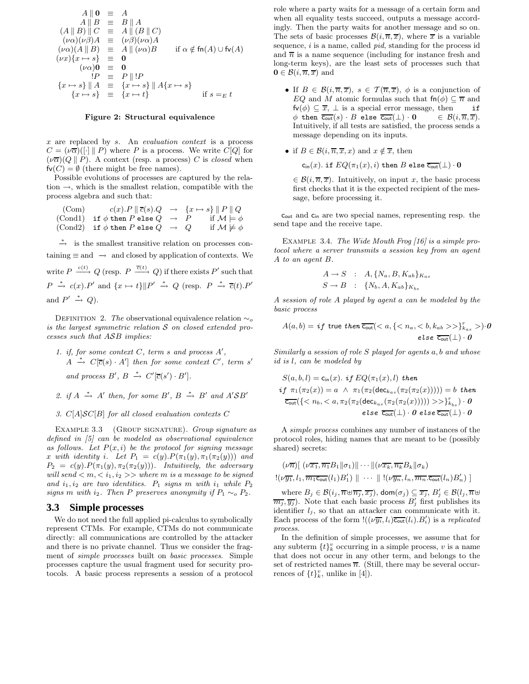$$
A \parallel \mathbf{0} \equiv A
$$
  
\n
$$
A \parallel B \equiv B \parallel A
$$
  
\n
$$
(\mu \alpha)(\nu \beta)A \equiv (\nu \beta)(\nu \alpha)A
$$
  
\n
$$
(\nu \alpha)(A \parallel B) \equiv A \parallel (\nu \alpha)B
$$
 if  $\alpha \notin \text{fn}(A) \cup \text{fv}(A)$   
\n
$$
(\nu x)\{x \mapsto s\} \equiv \mathbf{0}
$$
  
\n
$$
(\nu \alpha)\mathbf{0} \equiv \mathbf{0}
$$
  
\n
$$
P \equiv P \parallel P
$$
  
\n
$$
\{x \mapsto s\} \parallel A \equiv \{x \mapsto s\} \parallel A\{x \mapsto s\}
$$
  
\n
$$
\{x \mapsto s\} \equiv \{x \mapsto t\}
$$
 if  $s =_E t$ 

Figure 2: Structural equivalence

x are replaced by s. An evaluation context is a process  $C = (\nu \overline{\alpha})(\cdot) \parallel P)$  where P is a process. We write  $C[Q]$  for  $(\nu \overline{\alpha})$ (Q || P). A context (resp. a process) C is closed when  $f\nu(C) = \emptyset$  (there might be free names).

Possible evolutions of processes are captured by the relation  $\rightarrow$ , which is the smallest relation, compatible with the process algebra and such that:

\n (Com) 
$$
c(x).P \parallel \overline{c}(s).Q \rightarrow \{x \mapsto s\} \parallel P \parallel Q
$$
   
\n (Cond1) if  $\phi$  then  $P$  else  $Q \rightarrow P$  if  $\mathcal{M} \models \phi$    
\n (Cond2) if  $\phi$  then  $P$  else  $Q \rightarrow Q$  if  $\mathcal{M} \not\models \phi$ \n

<sup>∗</sup>−→ is the smallest transitive relation on processes containing  $\equiv$  and  $\rightarrow$  and closed by application of contexts. We write  $P \stackrel{c(t)}{\longrightarrow} Q$  (resp.  $P \stackrel{\overline{c}(t)}{\longrightarrow} Q$ ) if there exists  $P'$  such that  $P \stackrel{*}{\to} c(x) \cdot P'$  and  $\{x \mapsto t\} || P' \stackrel{*}{\to} Q$  (resp.  $P \stackrel{*}{\to} \overline{c}(t) \cdot P'$ and  $P' \stackrel{*}{\rightarrow} Q$ ).

DEFINITION 2. The observational equivalence relation  $\sim_o$ is the largest symmetric relation  $S$  on closed extended processes such that ASB implies:

- 1. if, for some context  $C$ , term s and process  $A'$ ,  $A \stackrel{*}{\to} C[\overline{c}(s) \cdot A']$  then for some context  $C'$ , term s' and process  $B', B \stackrel{*}{\to} C'[\overline{c}(s') \cdot B'].$
- 2. if  $A \stackrel{*}{\rightarrow} A'$  then, for some B',  $B \stackrel{*}{\rightarrow} B'$  and  $A'SB'$
- 3.  $C[A]$ SC[B] for all closed evaluation contexts C

EXAMPLE 3.3 (GROUP SIGNATURE). Group signature as defined in [5] can be modeled as observational equivalence as follows. Let  $P(x, i)$  be the protocol for signing message x with identity i. Let  $P_1 = c(y) \cdot P(\pi_1(y), \pi_1(\pi_2(y)))$  and  $P_2 = c(y) \cdot P(\pi_1(y), \pi_2(\pi_2(y)))$ . Intuitively, the adversary will send  $\langle m, \langle i_1, i_2 \rangle$  where m is a message to be signed and  $i_1, i_2$  are two identities.  $P_1$  signs m with  $i_1$  while  $P_2$ signs m with i<sub>2</sub>. Then P preserves anonymity if  $P_1 \sim_o P_2$ .

### **3.3 Simple processes**

We do not need the full applied pi-calculus to symbolically represent CTMs. For example, CTMs do not communicate directly: all communications are controlled by the attacker and there is no private channel. Thus we consider the fragment of simple processes built on basic processes. Simple processes capture the usual fragment used for security protocols. A basic process represents a session of a protocol role where a party waits for a message of a certain form and when all equality tests succeed, outputs a message accordingly. Then the party waits for another message and so on. The sets of basic processes  $\mathcal{B}(i,\overline{n},\overline{x})$ , where  $\overline{x}$  is a variable sequence,  $i$  is a name, called *pid*, standing for the process id and  $\overline{n}$  is a name sequence (including for instance fresh and long-term keys), are the least sets of processes such that  $\mathbf{0} \in \mathcal{B}(i, \overline{n}, \overline{x})$  and

- If  $B \in \mathcal{B}(i,\overline{n},\overline{x}), s \in \mathcal{T}(\overline{n},\overline{x}), \phi$  is a conjunction of EQ and M atomic formulas such that  $fn(\phi) \subseteq \overline{n}$  and  $f\nu(\phi) \subseteq \overline{x}, \perp$  is a special error message, then if  $\phi$  then  $\overline{c_{\text{out}}}(s) \cdot B$  else  $\overline{c_{\text{out}}}(\bot) \cdot \mathbf{0} \quad \in \mathcal{B}(i, \overline{n}, \overline{x}).$ Intuitively, if all tests are satisfied, the process sends a message depending on its inputs.
- if  $B \in \mathcal{B}(i, \overline{n}, \overline{x}, x)$  and  $x \notin \overline{x}$ , then

 $c_{\text{in}}(x)$ . if  $EQ(\pi_1(x), i)$  then B else  $\overline{c_{\text{out}}}(\bot) \cdot \mathbf{0}$ 

 $\in \mathcal{B}(i,\overline{n},\overline{x})$ . Intuitively, on input x, the basic process first checks that it is the expected recipient of the message, before processing it.

cout and cin are two special names, representing resp. the send tape and the receive tape.

EXAMPLE 3.4. The Wide Mouth Frog [16] is a simple protocol where a server transmits a session key from an agent A to an agent B.

$$
A \rightarrow S : A, \{N_a, B, K_{ab}\}_{K_{as}}
$$
  

$$
S \rightarrow B : \{N_b, A, K_{ab}\}_{K_{bs}}
$$

A session of role A played by agent a can be modeled by the basic process

$$
A(a,b) = \text{if true then } \overline{\mathsf{c}_{\text{out}}}(\}_{k_{as}}^r>)\cdot 0
$$
  
else  $\overline{\mathsf{c}_{\text{out}}}(\perp) \cdot 0$ 

Similarly a session of role S played for agents a, b and whose id is l, can be modeled by

$$
S(a, b, l) = c_{\text{in}}(x). \text{ if } EQ(\pi_1(x), l) \text{ then}
$$
\n
$$
if \pi_1(\pi_2(x)) = a \land \pi_1(\pi_2(\text{dec}_{k_{as}}(\pi_2(\pi_2(x)))) = b \text{ then}
$$
\n
$$
\overline{c_{\text{out}}}(\{>\}_{k_{bs}}) \cdot 0
$$
\n
$$
else \overline{c_{\text{out}}}(\bot) \cdot 0 \text{ else } \overline{c_{\text{out}}}(\bot) \cdot 0
$$

A simple process combines any number of instances of the protocol roles, hiding names that are meant to be (possibly shared) secrets:

$$
\frac{(\nu \overline{n})\left[(\nu \overline{x_1}, \overline{n_1}B_1 || \sigma_1)\|\cdots\|(\nu \overline{x_k}, \overline{n_k}B_k || \sigma_k)\right]}{!(\nu \overline{y_1}, l_1, \overline{m_1}C_{\text{out}}(l_1)B'_1)\|\cdots\|\left[(\nu \overline{y_n}, l_n, \overline{m_n} \cdot C_{\text{out}}(l_n)B'_n)\right]}
$$

where  $B_j \in \mathcal{B}(i_j, \overline{n} \boxplus \overline{n_j}, \overline{x_j})$ , dom $(\sigma_j) \subseteq \overline{x_j}, B'_j \in \mathcal{B}(l_j, \overline{n} \boxplus \overline{n_j})$  $\overline{m_j}, \overline{y_j}$ ). Note that each basic process  $B'_j$  first publishes its identifier  $l_i$ , so that an attacker can communicate with it. Each process of the form  $!((\nu \overline{y_i}, l_i)\overline{c_{\text{out}}}(l_i).B'_i)$  is a replicated process.

In the definition of simple processes, we assume that for any subterm  $\{t\}_k^v$  occurring in a simple process, v is a name that does not occur in any other term, and belongs to the set of restricted names  $\overline{n}$ . (Still, there may be several occurrences of  $\{t\}_k^v$ , unlike in [4]).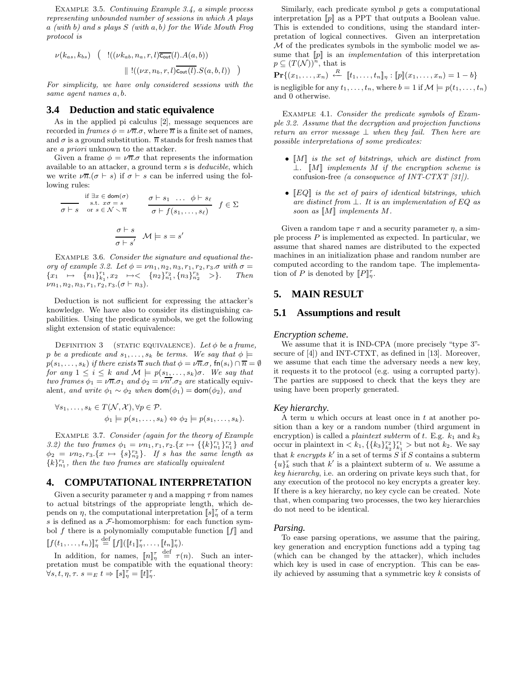Example 3.5. Continuing Example 3.4, a simple process representing unbounded number of sessions in which A plays  $a$  (with b) and s plays  $S$  (with  $a,b$ ) for the Wide Mouth Frog protocol is

$$
\nu(k_{as}, k_{bs}) \quad ( \quad !((\nu k_{ab}, n_a, r, l) \overline{C_{\text{out}}}(l).A(a, b))
$$

$$
|| \quad !((\nu x, n_b, r, l) \overline{C_{\text{out}}(l)}.S(a, b, l)) )
$$

For simplicity, we have only considered sessions with the same agent names a, b.

#### **3.4 Deduction and static equivalence**

As in the applied pi calculus [2], message sequences are recorded in frames  $\phi = \nu \overline{n} \cdot \sigma$ , where  $\overline{n}$  is a finite set of names, and  $\sigma$  is a ground substitution.  $\overline{n}$  stands for fresh names that are a priori unknown to the attacker.

Given a frame  $\phi = \nu \overline{n} \cdot \sigma$  that represents the information available to an attacker, a ground term s is deducible, which we write  $\nu \overline{n} \cdot (\sigma \vdash s)$  if  $\sigma \vdash s$  can be inferred using the following rules:

$$
\frac{\text{if } \exists x \in \text{dom}(\sigma) \quad \sigma \vdash s_1 \quad \dots \quad \phi \vdash s_\ell}{\sigma \vdash s \quad \text{or } s \in \mathcal{N} \setminus \overline{n}} \qquad \frac{\sigma \vdash s_1 \quad \dots \quad \phi \vdash s_\ell}{\sigma \vdash f(s_1, \dots, s_\ell)} \quad f \in \Sigma
$$

Example 3.6. Consider the signature and equational theory of example 3.2. Let  $\phi = \nu n_1, n_2, n_3, r_1, r_2, r_3$ . $\sigma$  with  $\sigma =$  ${x_1 \mapsto \{n_1\}_{k_1}^{r_1}, x_2 \mapsto \{n_2\}_{n_1}^{r_2}, \{n_3\}_{n_2}^{r_3} >}.$  Then  $\nu n_1, n_2, n_3, r_1, r_2, r_3.(\sigma \vdash n_3).$ 

Deduction is not sufficient for expressing the attacker's knowledge. We have also to consider its distinguishing capabilities. Using the predicate symbols, we get the following slight extension of static equivalence:

DEFINITION 3 (STATIC EQUIVALENCE). Let  $\phi$  be a frame, p be a predicate and  $s_1, \ldots, s_k$  be terms. We say that  $\phi \models$  $p(s_1, \ldots, s_k)$  if there exists  $\overline{n}$  such that  $\phi = \nu \overline{n} \cdot \sigma$ ,  $f_n(s_i) \cap \overline{n} = \emptyset$ for any  $1 \leq i \leq k$  and  $\mathcal{M} \models p(s_1, \ldots, s_k)\sigma$ . We say that two frames  $\phi_1 = \nu \overline{n} \cdot \sigma_1$  and  $\phi_2 = \nu \overline{n'} \cdot \sigma_2$  are statically equivalent, and write  $\phi_1 \sim \phi_2$  when  $\text{dom}(\phi_1) = \text{dom}(\phi_2)$ , and

$$
\forall s_1, \ldots, s_k \in T(\mathcal{N}, \mathcal{X}), \forall p \in \mathcal{P}.
$$
  

$$
\phi_1 \models p(s_1, \ldots, s_k) \Leftrightarrow \phi_2 \models p(s_1, \ldots, s_k).
$$

Example 3.7. Consider (again for the theory of Example 3.2) the two frames  $\phi_1 = \nu n_1, r_1, r_2. \{x \mapsto {\mathbb R}^r n_1 \}_{n_1}^{r_2}$  and  $\phi_2 = \nu n_2, r_3. \{x \mapsto \{s\}_{n_2}^{r_3}\}.$  If s has the same length as  ${k}_{n_1}^{r_1}$ , then the two frames are statically equivalent

# **4. COMPUTATIONAL INTERPRETATION**

Given a security parameter  $\eta$  and a mapping  $\tau$  from names to actual bitstrings of the appropriate length, which depends on  $\eta$ , the computational interpretation  $\llbracket s \rrbracket_{\eta}^{\tau}$  of a term s is defined as a  $F$ -homomorphism: for each function symbol f there is a polynomially computable function  $\llbracket f \rrbracket$  and  $[[f(t_1,\ldots,t_n)]\]^\tau_\eta \stackrel{\text{def}}{=} [[f]]([\![t_1]\!]^\tau_\eta,\ldots,[\![t_n]\!]^\tau_\eta).$ 

In addition, for names,  $\llbracket n \rrbracket_{\eta}^{\tau} \stackrel{\text{def}}{=} \tau(n)$ . Such an interpretation must be compatible with the equational theory:  $\forall s, t, \eta, \tau$ .  $s =_E t \Rightarrow [s]_{\eta}^{\tau} = [t]_{\eta}^{\tau}$ .

Similarly, each predicate symbol  $p$  gets a computational interpretation  $[p]$  as a PPT that outputs a Boolean value. This is extended to conditions, using the standard interpretation of logical connectives. Given an interpretation M of the predicates symbols in the symbolic model we assume that  $[p]$  is an *implementation* of this interpretation  $p \subseteq (T(\mathcal{N}))^n$ , that is

 $\mathbf{Pr}\{(x_1,\ldots,x_n) \stackrel{R}{\leftarrow} [\![t_1,\ldots,t_n]\!]_\eta : [\![p]\!](x_1,\ldots,x_n) = 1 - b\}$ is negligible for any  $t_1, \ldots, t_n$ , where  $b = 1$  if  $\mathcal{M} \models p(t_1, \ldots, t_n)$ and 0 otherwise.

EXAMPLE 4.1. Consider the predicate symbols of Example 3.2. Assume that the decryption and projection functions return an error message  $\perp$  when they fail. Then here are possible interpretations of some predicates:

- $[M]$  is the set of bitstrings, which are distinct from  $\mathcal{L}$ .  $\llbracket M \rrbracket$  implements M if the encryption scheme is confusion-free (a consequence of INT-CTXT [31]).
- $\llbracket EQ \rrbracket$  is the set of pairs of identical bitstrings, which are distinct from  $\bot$ . It is an implementation of EQ as soon as  $[M]$  implements  $M$ .

Given a random tape  $\tau$  and a security parameter  $\eta$ , a simple process  $P$  is implemented as expected. In particular, we assume that shared names are distributed to the expected machines in an initialization phase and random number are computed according to the random tape. The implementation of P is denoted by  $[ P ]_{\eta}^{\tau}$ .

# **5. MAIN RESULT**

### **5.1 Assumptions and result**

#### *Encryption scheme.*

We assume that it is IND-CPA (more precisely "type 3" secure of [4]) and INT-CTXT, as defined in [13]. Moreover, we assume that each time the adversary needs a new key, it requests it to the protocol (e.g. using a corrupted party). The parties are supposed to check that the keys they are using have been properly generated.

#### *Key hierarchy.*

A term  $u$  which occurs at least once in  $t$  at another position than a key or a random number (third argument in encryption) is called a *plaintext subterm* of  $t$ . E.g.  $k_1$  and  $k_3$ occur in plaintext in  $\langle k_1, \{\{k_3\}_{k_2}^{r_2}\}_{k_1}^{r_1} \rangle$  but not  $k_2$ . We say that k encrypts  $k'$  in a set of terms  $S$  if  $S$  contains a subterm  ${u}_{k}^{r}$  such that  $k'$  is a plaintext subterm of u. We assume a key hierarchy, i.e. an ordering on private keys such that, for any execution of the protocol no key encrypts a greater key. If there is a key hierarchy, no key cycle can be created. Note that, when comparing two processes, the two key hierarchies do not need to be identical.

#### *Parsing.*

To ease parsing operations, we assume that the pairing, key generation and encryption functions add a typing tag (which can be changed by the attacker), which includes which key is used in case of encryption. This can be easily achieved by assuming that a symmetric key  $k$  consists of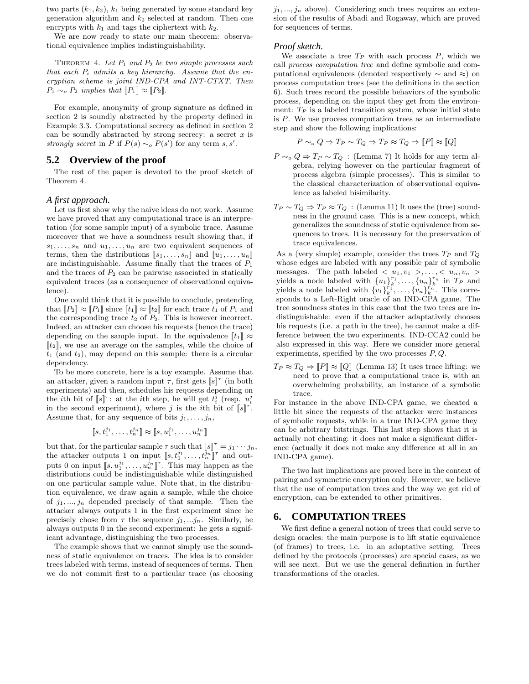two parts  $(k_1, k_2)$ ,  $k_1$  being generated by some standard key generation algorithm and  $k_2$  selected at random. Then one encrypts with  $k_1$  and tags the ciphertext with  $k_2$ .

We are now ready to state our main theorem: observational equivalence implies indistinguishability.

THEOREM 4. Let  $P_1$  and  $P_2$  be two simple processes such that each  $P_i$  admits a key hierarchy. Assume that the encryption scheme is joint IND-CPA and INT-CTXT. Then  $P_1 \sim_o P_2$  implies that  $[P_1] \approx [P_2]$ .

For example, anonymity of group signature as defined in section 2 is soundly abstracted by the property defined in Example 3.3. Computational secrecy as defined in section 2 can be soundly abstracted by strong secrecy: a secret  $x$  is strongly secret in P if  $P(s) \sim_o P(s')$  for any term s, s'.

### **5.2 Overview of the proof**

The rest of the paper is devoted to the proof sketch of Theorem 4.

#### *A first approach.*

Let us first show why the naive ideas do not work. Assume we have proved that any computational trace is an interpretation (for some sample input) of a symbolic trace. Assume moreover that we have a soundness result showing that, if  $s_1, \ldots, s_n$  and  $u_1, \ldots, u_n$  are two equivalent sequences of terms, then the distributions  $[s_1, \ldots, s_n]$  and  $[u_1, \ldots, u_n]$ are indistinguishable. Assume finally that the traces of  $P_1$ and the traces of  $P_2$  can be pairwise associated in statically equivalent traces (as a consequence of observational equivalence).

One could think that it is possible to conclude, pretending that  $[P_2] \approx [P_1]$  since  $[t_1] \approx [t_2]$  for each trace  $t_1$  of  $P_1$  and the corresponding trace  $t_2$  of  $P_2$ . This is however incorrect. Indeed, an attacker can choose his requests (hence the trace) depending on the sample input. In the equivalence  $[[t_1]] \approx$  $[t_2]$ , we use an average on the samples, while the choice of  $t_1$  (and  $t_2$ ), may depend on this sample: there is a circular dependency.

To be more concrete, here is a toy example. Assume that an attacker, given a random input  $\tau$ , first gets  $\llbracket s \rrbracket^{\tau}$  (in both experiments) and then, schedules his requests depending on the *i*th bit of  $[s]^{\tau}$ : at the *i*th step, he will get  $t_i^{\tilde{j}}$  (resp.  $u_i^j$ in the second experiment), where j is the ith bit of  $[s]^{\tau}$ . Assume that, for any sequence of bits  $j_1, \ldots, j_n$ ,

$$
\llbracket s, t_1^{j_1}, \dots, t_n^{j_n} \rrbracket \approx \llbracket s, u_1^{j_1}, \dots, u_n^{j_n} \rrbracket
$$

but that, for the particular sample  $\tau$  such that  $[s]^{\tau} = j_1 \cdots j_n$ , the attacker outputs 1 on input  $[s, t_1^{j_1}, \ldots, t_n^{j_n}]^{\tau}$  and outputs 0 on input  $\llbracket s, u_1^{j_1}, \ldots, u_n^{j_n} \rrbracket^{\tau}$ . This may happen as the distributions could be indistinguishable while distinguished on one particular sample value. Note that, in the distribution equivalence, we draw again a sample, while the choice of  $j_1, ..., j_n$  depended precisely of that sample. Then the attacker always outputs 1 in the first experiment since he precisely chose from  $\tau$  the sequence  $j_1, \ldots, j_n$ . Similarly, he always outputs 0 in the second experiment: he gets a significant advantage, distinguishing the two processes.

The example shows that we cannot simply use the soundness of static equivalence on traces. The idea is to consider trees labeled with terms, instead of sequences of terms. Then we do not commit first to a particular trace (as choosing  $j_1, ..., j_n$  above). Considering such trees requires an extension of the results of Abadi and Rogaway, which are proved for sequences of terms.

#### *Proof sketch.*

We associate a tree  $T_P$  with each process  $P$ , which we call process computation tree and define symbolic and computational equivalences (denoted respectively ∼ and ≈) on process computation trees (see the definitions in the section 6). Such trees record the possible behaviors of the symbolic process, depending on the input they get from the environment:  $T_P$  is a labeled transition system, whose initial state is  $P$ . We use process computation trees as an intermediate step and show the following implications:

$$
P \sim_o Q \Rightarrow T_P \sim T_Q \Rightarrow T_P \approx T_Q \Rightarrow [P] \approx [Q]
$$

- $P \sim_o Q \Rightarrow T_P \sim T_Q$ : (Lemma 7) It holds for any term algebra, relying however on the particular fragment of process algebra (simple processes). This is similar to the classical characterization of observational equivalence as labeled bisimilarity.
- $T_P \sim T_Q \Rightarrow T_P \approx T_Q$ : (Lemma 11) It uses the (tree) soundness in the ground case. This is a new concept, which generalizes the soundness of static equivalence from sequences to trees. It is necessary for the preservation of trace equivalences.

As a (very simple) example, consider the trees  $T_P$  and  $T_Q$ whose edges are labeled with any possible pair of symbolic messages. The path labeled  $\langle u_1, v_1 \rangle, \ldots, \langle u_n, v_n \rangle$ yields a node labeled with  ${u_1}_{k}^{r_1}, \ldots, {u_n}_{k}^{r_n}$  in  $T_P$  and yields a node labeled with  $\{v_1\}_{k}^{r_1}, \ldots, \{v_n\}_{k}^{r_n}$ . This corresponds to a Left-Right oracle of an IND-CPA game. The tree soundness states in this case that the two trees are indistinguishable: even if the attacker adaptatively chooses his requests (i.e. a path in the tree), he cannot make a difference between the two experiments. IND-CCA2 could be also expressed in this way. Here we consider more general experiments, specified by the two processes  $P, Q$ .

 $T_P \approx T_Q \Rightarrow [P] \approx [Q]$  (Lemma 13) It uses trace lifting: we need to prove that a computational trace is, with an overwhelming probability, an instance of a symbolic trace.

For instance in the above IND-CPA game, we cheated a little bit since the requests of the attacker were instances of symbolic requests, while in a true IND-CPA game they can be arbitrary bitstrings. This last step shows that it is actually not cheating: it does not make a significant difference (actually it does not make any difference at all in an IND-CPA game).

The two last implications are proved here in the context of pairing and symmetric encryption only. However, we believe that the use of computation trees and the way we get rid of encryption, can be extended to other primitives.

### **6. COMPUTATION TREES**

We first define a general notion of trees that could serve to design oracles: the main purpose is to lift static equivalence (of frames) to trees, i.e. in an adaptative setting. Trees defined by the protocols (processes) are special cases, as we will see next. But we use the general definition in further transformations of the oracles.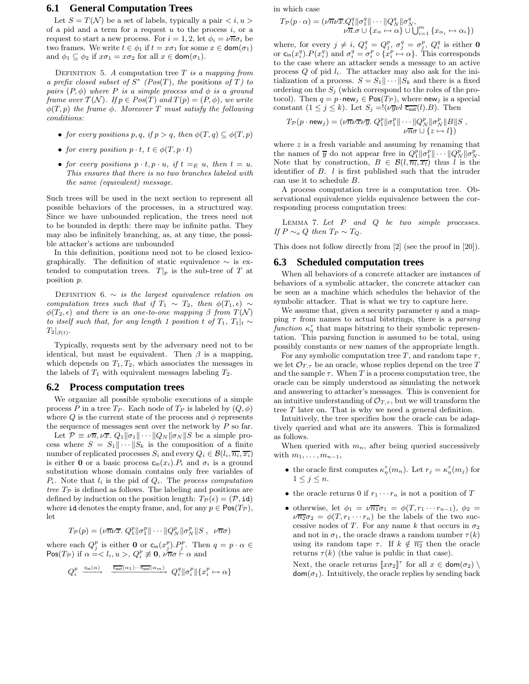# **6.1 General Computation Trees**

Let  $S = T(\mathcal{N})$  be a set of labels, typically a pair  $\langle i, u \rangle$ of a pid and a term for a request  $u$  to the process  $i$ , or a request to start a new process. For  $i = 1, 2$ , let  $\phi_i = \nu \overline{n} \sigma_i$  be two frames. We write  $t \in \phi_1$  if  $t = x\sigma_1$  for some  $x \in \text{dom}(\sigma_1)$ and  $\phi_1 \subseteq \phi_2$  if  $x\sigma_1 = x\sigma_2$  for all  $x \in \text{dom}(\sigma_1)$ .

DEFINITION 5. A computation tree  $T$  is a mapping from a prefix closed subset of  $S^*$  (Pos(T), the positions of T) to pairs  $(P, \phi)$  where P is a simple process and  $\phi$  is a ground frame over  $T(N)$ . If  $p \in Pos(T)$  and  $T(p) = (P, \phi)$ , we write  $\phi(T, p)$  the frame  $\phi$ . Moreover T must satisfy the following conditions:

- for every positions p, q, if  $p > q$ , then  $\phi(T, q) \subseteq \phi(T, p)$
- for every position  $p \cdot t$ ,  $t \in \phi(T, p \cdot t)$
- for every positions  $p \cdot t$ ,  $p \cdot u$ , if  $t =_E u$ , then  $t = u$ . This ensures that there is no two branches labeled with the same (equivalent) message.

Such trees will be used in the next section to represent all possible behaviors of the processes, in a structured way. Since we have unbounded replication, the trees need not to be bounded in depth: there may be infinite paths. They may also be infinitely branching, as, at any time, the possible attacker's actions are unbounded

In this definition, positions need not to be closed lexicographically. The definition of static equivalence  $\sim$  is extended to computation trees.  $T|_p$  is the sub-tree of T at position p.

DEFINITION 6.  $~\sim~$  is the largest equivalence relation on computation trees such that if  $T_1 \sim T_2$ , then  $\phi(T_1, \epsilon) \sim$  $\phi(T_2, \epsilon)$  and there is an one-to-one mapping  $\beta$  from  $T(\mathcal{N})$ to itself such that, for any length 1 position t of  $T_1$ ,  $T_1|_t \sim$  $T_2|_{\beta(t)}$ .

Typically, requests sent by the adversary need not to be identical, but must be equivalent. Then  $\beta$  is a mapping, which depends on  $T_1, T_2$ , which associates the messages in the labels of  $T_1$  with equivalent messages labeling  $T_2$ .

#### **6.2 Process computation trees**

We organize all possible symbolic executions of a simple process P in a tree  $T_P$ . Each node of  $T_P$  is labeled by  $(Q, \phi)$ where  $Q$  is the current state of the process and  $\phi$  represents the sequence of messages sent over the network by  $P$  so far.

Let  $\mathcal{P} \equiv \nu \overline{n}, \nu \overline{x}$ .  $Q_1 || \sigma_1 || \cdots || Q_N || \sigma_N || S$  be a simple process where  $S = S_1 || \cdots || S_k$  is the composition of a finite number of replicated processes  $S_i$  and every  $Q_i \in \mathcal{B}(l_i, \overline{n_i}, \overline{x_i})$ is either 0 or a basic process  $c_{\text{in}}(x_i)$ .  $P_i$  and  $\sigma_i$  is a ground substitution whose domain contains only free variables of  $P_i$ . Note that  $l_i$  is the pid of  $Q_i$ . The process computation tree  $T_P$  is defined as follows. The labeling and positions are defined by induction on the position length:  $T_{\mathcal{P}}(\epsilon) = (\mathcal{P}, \text{id})$ where id denotes the empty frame, and, for any  $p \in \text{Pos}(T_{\mathcal{P}})$ , let

$$
T_{\mathcal{P}}(p) = (\nu \overline{n} \nu \overline{x} \cdot Q_1^p || \sigma_1^p || \cdots || Q_N^p || \sigma_N^p || S , \nu \overline{n} \sigma)
$$

where each  $Q_j^p$  is either **0** or  $\mathsf{c}_{\mathsf{in}}(x_j^p) P_j^p$ . Then  $q = p \cdot \alpha \in$ Pos $(T_P)$  if  $\alpha = \langle l_i, u \rangle, Q_i^p \not\equiv 0, \nu \overline{n} \sigma \vdash \alpha$  and

$$
Q_i^p \ \xrightarrow{\mathsf{c}_{\mathsf{in}}(\alpha)} \ \xrightarrow{\overline{\mathsf{c}_{\mathsf{out}}(\alpha_1)\cdots\overline{\mathsf{c}_{\mathsf{out}}}(\alpha_m)}} \ Q_i^q\|\sigma_i^p\|\{x_i^p\mapsto \alpha\}
$$

in which case

$$
T_{\mathcal{P}}(p \cdot \alpha) = (\nu \overline{n} \nu \overline{x}. Q_1^q || \sigma_1^q || \cdots || Q_N^q || \sigma_N^q, \nu \overline{n}.\sigma \cup \{x_\alpha \mapsto \alpha\} \cup \bigcup_{i=1}^m \{x_{\alpha_i} \mapsto \alpha_i\}\big)
$$

where, for every  $j \neq i$ ,  $Q_j^q = Q_j^p$ ,  $\sigma_j^q = \sigma_j^p$ ,  $Q_i^q$  is either **0** or  $c_{\text{in}}(x_i^q) \cdot P(x_i^q)$  and  $\sigma_i^q = \sigma_i^p \circ \{x_i^p \mapsto \alpha\}$ . This corresponds to the case where an attacker sends a message to an active process  $Q$  of pid  $l_i$ . The attacker may also ask for the initialization of a process.  $S = S_1 || \cdots || S_k$  and there is a fixed ordering on the  $S_j$  (which correspond to the roles of the protocol). Then  $q = p \cdot new_j \in Pos(T_{\mathcal{P}})$ , where new<sub>j</sub> is a special constant  $(1 \leq j \leq k)$ . Let  $S_j = !(\nu \overline{y} \nu l \overline{c_{\text{out}}}(l).B)$ . Then

$$
T_{\mathcal{P}}(p \cdot \text{new}_j) = (\nu \overline{n} \nu \overline{x} \nu \overline{y}. \ Q_1^p || \sigma_1^p || \cdots || Q_N^p || \sigma_N^p || B || S ,
$$
  

$$
\nu \overline{n} \sigma \cup \{z \mapsto l\})
$$

where  $z$  is a fresh variable and assuming by renaming that the names of  $\overline{y}$  do not appear free in  $Q_1^p \|\sigma_1^p \|\cdots \| Q_N^p \|\sigma_N^p$ . Note that by construction,  $B \in \mathcal{B}(l, \overline{n_l}, \overline{x_l})$  thus l is the identifier of  $B$ .  $l$  is first published such that the intruder can use it to schedule B.

A process computation tree is a computation tree. Observational equivalence yields equivalence between the corresponding process computation trees:

LEMMA 7. Let  $P$  and  $Q$  be two simple processes. If  $P \sim_o Q$  then  $T_P \sim T_Q$ .

This does not follow directly from [2] (see the proof in [20]).

#### **6.3 Scheduled computation trees**

When all behaviors of a concrete attacker are instances of behaviors of a symbolic attacker, the concrete attacker can be seen as a machine which schedules the behavior of the symbolic attacker. That is what we try to capture here.

We assume that, given a security parameter  $\eta$  and a mapping  $\tau$  from names to actual bitstrings, there is a *parsing* function  $\kappa_{\eta}^{\tau}$  that maps bitstring to their symbolic representation. This parsing function is assumed to be total, using possibly constants or new names of the appropriate length.

For any symbolic computation tree T, and random tape  $\tau$ , we let  $\mathcal{O}_{T,\tau}$  be an oracle, whose replies depend on the tree T and the sample  $\tau$ . When T is a process computation tree, the oracle can be simply understood as simulating the network and answering to attacker's messages. This is convenient for an intuitive understanding of  $\mathcal{O}_{T,\tau}$ , but we will transform the tree T later on. That is why we need a general definition.

Intuitively, the tree specifies how the oracle can be adaptively queried and what are its answers. This is formalized as follows.

When queried with  $m_n$ , after being queried successively with  $m_1, \ldots, m_{n-1}$ ,

- the oracle first computes  $\kappa_{\eta}^{\tau}(m_n)$ . Let  $r_j = \kappa_{\eta}^{\tau}(m_j)$  for  $1 \leq j \leq n$ .
- the oracle returns 0 if  $r_1 \cdots r_n$  is not a position of T
- otherwise, let  $\phi_1 = \nu \overline{n_1} \sigma_1 = \phi(T, r_1 \cdots r_{n-1}), \phi_2 =$  $\nu \overline{n_2} \sigma_2 = \phi(T, r_1 \cdots r_n)$  be the labels of the two successive nodes of T. For any name k that occurs in  $\sigma_2$ and not in  $\sigma_1$ , the oracle draws a random number  $\tau(k)$ using its random tape  $\tau$ . If  $k \notin \overline{n_2}$  then the oracle returns  $\tau(k)$  (the value is public in that case).

Next, the oracle returns  $\llbracket x \sigma_2 \rrbracket^{\tau}$  for all  $x \in \text{dom}(\sigma_2) \setminus \mathcal{C}$  $\mathsf{dom}(\sigma_1)$ . Intuitively, the oracle replies by sending back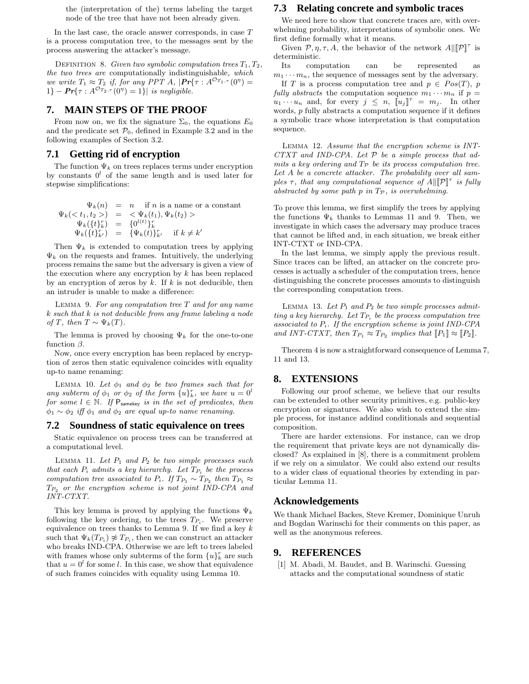the (interpretation of the) terms labeling the target node of the tree that have not been already given.

In the last case, the oracle answer corresponds, in case T is a process computation tree, to the messages sent by the process answering the attacker's message.

DEFINITION 8. Given two symbolic computation trees  $T_1, T_2$ , the two trees are computationally indistinguishable, which we write  $T_1 \approx T_2$  if, for any PPT A,  $|\mathbf{Pr}(\tau : A^{\mathcal{O}_{T_1,\tau}}(0^n))|$  $1\} - Pr\{\tau : A^{\mathcal{O}_{T_2, \tau}}(0^{\eta}) = 1\}$  is negligible.

# **7. MAIN STEPS OF THE PROOF**

From now on, we fix the signature  $\Sigma_0$ , the equations  $E_0$ and the predicate set  $\mathcal{P}_0$ , defined in Example 3.2 and in the following examples of Section 3.2.

### **7.1 Getting rid of encryption**

The function  $\Psi_k$  on trees replaces terms under encryption by constants  $0<sup>l</sup>$  of the same length and is used later for stepwise simplifications:

$$
\Psi_k(n) = n \quad \text{if } n \text{ is a name or a constant}
$$
\n
$$
\Psi_k(\langle t_1, t_2 \rangle) = \langle \Psi_k(t_1), \Psi_k(t_2) \rangle
$$
\n
$$
\Psi_k(\{t\}_k^r) = \{0^{l(t)}\}_k^r
$$
\n
$$
\Psi_k(\{t\}_{k'}^r) = \{\Psi_k(t)\}_{k'}^r \quad \text{if } k \neq k'
$$

Then  $\Psi_k$  is extended to computation trees by applying  $\Psi_k$  on the requests and frames. Intuitively, the underlying process remains the same but the adversary is given a view of the execution where any encryption by  $k$  has been replaced by an encryption of zeros by  $k$ . If  $k$  is not deducible, then an intruder is unable to make a difference:

LEMMA 9. For any computation tree  $T$  and for any name k such that k is not deducible from any frame labeling a node of T, then  $T \sim \Psi_k(T)$ .

The lemma is proved by choosing  $\Psi_k$  for the one-to-one function  $\beta$ .

Now, once every encryption has been replaced by encryption of zeros then static equivalence coincides with equality up-to name renaming:

LEMMA 10. Let  $\phi_1$  and  $\phi_2$  be two frames such that for any subterm of  $\phi_1$  or  $\phi_2$  of the form  $\{u\}_k^r$ , we have  $u=0^l$ for some  $l \in \mathbb{N}$ . If  $P_{\text{samekey}}$  is in the set of predicates, then  $\phi_1 \sim \phi_2$  iff  $\phi_1$  and  $\phi_2$  are equal up-to name renaming.

#### **7.2 Soundness of static equivalence on trees**

Static equivalence on process trees can be transferred at a computational level.

LEMMA 11. Let  $P_1$  and  $P_2$  be two simple processes such that each  $P_i$  admits a key hierarchy. Let  $T_{P_i}$  be the process computation tree associated to  $P_i$ . If  $T_{P_1} \sim T_{P_2}$  then  $T_{P_1} \approx$  $T_{P_2}$  or the encryption scheme is not joint IND-CPA and INT-CTXT.

This key lemma is proved by applying the functions  $\Psi_k$ following the key ordering, to the trees  $T_{P_i}$ . We preserve equivalence on trees thanks to Lemma 9. If we find a key  $k$ such that  $\Psi_k(T_{P_i}) \not\approx T_{P_i}$ , then we can construct an attacker who breaks IND-CPA. Otherwise we are left to trees labeled with frames whose only subterms of the form  $\{u\}^r_k$  are such that  $u = 0<sup>l</sup>$  for some l. In this case, we show that equivalence of such frames coincides with equality using Lemma 10.

# **7.3 Relating concrete and symbolic traces**

We need here to show that concrete traces are, with overwhelming probability, interpretations of symbolic ones. We first define formally what it means.

Given  $\mathcal{P}, \eta, \tau, A$ , the behavior of the network  $A \parallel \llbracket \mathcal{P} \rrbracket^{\tau}$  is deterministic.

Its computation can be represented as  $m_1 \cdots m_n$ , the sequence of messages sent by the adversary.

If T is a process computation tree and  $p \in Pos(T)$ , p fully abstracts the computation sequence  $m_1 \cdots m_n$  if  $p =$  $u_1 \cdots u_n$  and, for every  $j \leq n$ ,  $[u_j]^{\tau} = m_j$ . In other words, p fully abstracts a computation sequence if it defines a symbolic trace whose interpretation is that computation sequence.

Lemma 12. Assume that the encryption scheme is INT- $CTXT$  and IND-CPA. Let  $P$  be a simple process that admits a key ordering and  $T_P$  be its process computation tree. Let A be a concrete attacker. The probability over all samples  $\tau$ , that any computational sequence of  $A\Vert \llbracket \mathcal{P} \rrbracket^{\tau}$  is fully abstracted by some path p in  $T_P$ , is overwhelming.

To prove this lemma, we first simplify the trees by applying the functions  $\Psi_k$  thanks to Lemmas 11 and 9. Then, we investigate in which cases the adversary may produce traces that cannot be lifted and, in each situation, we break either INT-CTXT or IND-CPA.

In the last lemma, we simply apply the previous result. Since traces can be lifted, an attacker on the concrete processes is actually a scheduler of the computation trees, hence distinguishing the concrete processes amounts to distinguish the corresponding computation trees.

LEMMA 13. Let  $P_1$  and  $P_2$  be two simple processes admitting a key hierarchy. Let  $T_{P_i}$  be the process computation tree associated to  $P_i$ . If the encryption scheme is joint IND-CPA and INT-CTXT, then  $T_{P_1} \approx T_{P_2}$  implies that  $[P_1] \approx [P_2]$ .

Theorem 4 is now a straightforward consequence of Lemma 7, 11 and 13.

# **8. EXTENSIONS**

Following our proof scheme, we believe that our results can be extended to other security primitives, e.g. public-key encryption or signatures. We also wish to extend the simple process, for instance addind conditionals and sequential composition.

There are harder extensions. For instance, can we drop the requirement that private keys are not dynamically disclosed? As explained in [8], there is a commitment problem if we rely on a simulator. We could also extend our results to a wider class of equational theories by extending in particular Lemma 11.

### **Acknowledgements**

We thank Michael Backes, Steve Kremer, Dominique Unruh and Bogdan Warinschi for their comments on this paper, as well as the anonymous referees.

## **9. REFERENCES**

[1] M. Abadi, M. Baudet, and B. Warinschi. Guessing attacks and the computational soundness of static